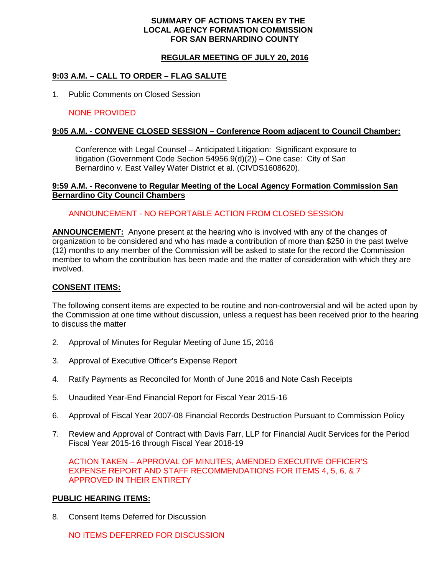#### **SUMMARY OF ACTIONS TAKEN BY THE LOCAL AGENCY FORMATION COMMISSION FOR SAN BERNARDINO COUNTY**

## **REGULAR MEETING OF JULY 20, 2016**

## **9:03 A.M. – CALL TO ORDER – FLAG SALUTE**

1. Public Comments on Closed Session

## NONE PROVIDED

## **9:05 A.M. - CONVENE CLOSED SESSION – Conference Room adjacent to Council Chamber:**

Conference with Legal Counsel – Anticipated Litigation: Significant exposure to litigation (Government Code Section 54956.9(d)(2)) – One case: City of San Bernardino v. East Valley Water District et al. (CIVDS1608620).

#### **9:59 A.M. - Reconvene to Regular Meeting of the Local Agency Formation Commission San Bernardino City Council Chambers**

## ANNOUNCEMENT - NO REPORTABLE ACTION FROM CLOSED SESSION

**ANNOUNCEMENT:** Anyone present at the hearing who is involved with any of the changes of organization to be considered and who has made a contribution of more than \$250 in the past twelve (12) months to any member of the Commission will be asked to state for the record the Commission member to whom the contribution has been made and the matter of consideration with which they are involved.

#### **CONSENT ITEMS:**

The following consent items are expected to be routine and non-controversial and will be acted upon by the Commission at one time without discussion, unless a request has been received prior to the hearing to discuss the matter

- 2. Approval of Minutes for Regular Meeting of June 15, 2016
- 3. Approval of Executive Officer's Expense Report
- 4. Ratify Payments as Reconciled for Month of June 2016 and Note Cash Receipts
- 5. Unaudited Year-End Financial Report for Fiscal Year 2015-16
- 6. Approval of Fiscal Year 2007-08 Financial Records Destruction Pursuant to Commission Policy
- 7. Review and Approval of Contract with Davis Farr, LLP for Financial Audit Services for the Period Fiscal Year 2015-16 through Fiscal Year 2018-19

ACTION TAKEN – APPROVAL OF MINUTES, AMENDED EXECUTIVE OFFICER'S EXPENSE REPORT AND STAFF RECOMMENDATIONS FOR ITEMS 4, 5, 6, & 7 APPROVED IN THEIR ENTIRETY

## **PUBLIC HEARING ITEMS:**

8. Consent Items Deferred for Discussion

NO ITEMS DEFERRED FOR DISCUSSION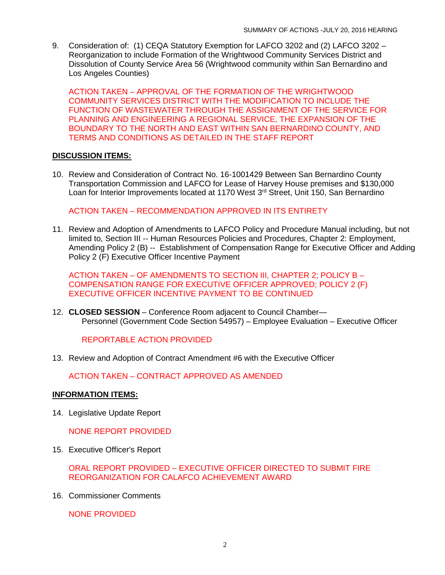9. Consideration of: (1) CEQA Statutory Exemption for LAFCO 3202 and (2) LAFCO 3202 – Reorganization to include Formation of the Wrightwood Community Services District and Dissolution of County Service Area 56 (Wrightwood community within San Bernardino and Los Angeles Counties)

ACTION TAKEN – APPROVAL OF THE FORMATION OF THE WRIGHTWOOD COMMUNITY SERVICES DISTRICT WITH THE MODIFICATION TO INCLUDE THE FUNCTION OF WASTEWATER THROUGH THE ASSIGNMENT OF THE SERVICE FOR PLANNING AND ENGINEERING A REGIONAL SERVICE, THE EXPANSION OF THE BOUNDARY TO THE NORTH AND EAST WITHIN SAN BERNARDINO COUNTY, AND TERMS AND CONDITIONS AS DETAILED IN THE STAFF REPORT

## **DISCUSSION ITEMS:**

10. Review and Consideration of Contract No. 16-1001429 Between San Bernardino County Transportation Commission and LAFCO for Lease of Harvey House premises and \$130,000 Loan for Interior Improvements located at 1170 West 3<sup>rd</sup> Street, Unit 150, San Bernardino

ACTION TAKEN – RECOMMENDATION APPROVED IN ITS ENTIRETY

11. Review and Adoption of Amendments to LAFCO Policy and Procedure Manual including, but not limited to, Section III -- Human Resources Policies and Procedures, Chapter 2: Employment, Amending Policy 2 (B) -- Establishment of Compensation Range for Executive Officer and Adding Policy 2 (F) Executive Officer Incentive Payment

ACTION TAKEN – OF AMENDMENTS TO SECTION III, CHAPTER 2; POLICY B – COMPENSATION RANGE FOR EXECUTIVE OFFICER APPROVED; POLICY 2 (F) EXECUTIVE OFFICER INCENTIVE PAYMENT TO BE CONTINUED

12. **CLOSED SESSION** – Conference Room adjacent to Council Chamber— Personnel (Government Code Section 54957) – Employee Evaluation – Executive Officer

REPORTABLE ACTION PROVIDED

13. Review and Adoption of Contract Amendment #6 with the Executive Officer

ACTION TAKEN – CONTRACT APPROVED AS AMENDED

## **INFORMATION ITEMS:**

14. Legislative Update Report

NONE REPORT PROVIDED

15. Executive Officer's Report

ORAL REPORT PROVIDED – EXECUTIVE OFFICER DIRECTED TO SUBMIT FIRE REORGANIZATION FOR CALAFCO ACHIEVEMENT AWARD

16. Commissioner Comments

NONE PROVIDED